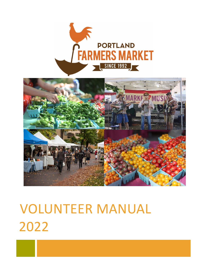



# VOLUNTEER MANUAL 2022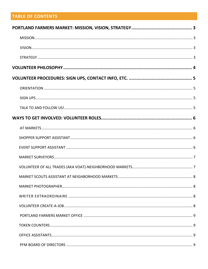# **TABLE OF CONTENTS**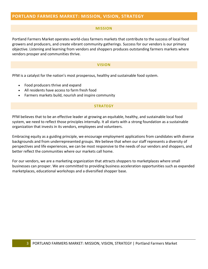# <span id="page-3-1"></span><span id="page-3-0"></span>**PORTLAND FARMERS MARKET: MISSION, VISION, STRATEGY**

#### **MISSION**

Portland Farmers Market operates world-class farmers markets that contribute to the success of local food growers and producers, and create vibrant community gatherings. Success for our vendors is our primary objective. Listening and learning from vendors and shoppers produces outstanding farmers markets where vendors prosper and communities thrive.

#### **VISION**

<span id="page-3-2"></span>PFM is a catalyst for the nation's most prosperous, healthy and sustainable food system.

- Food producers thrive and expand
- All residents have access to farm fresh food
- <span id="page-3-3"></span>• Farmers markets build, nourish and inspire community

#### **STRATEGY**

PFM believes that to be an effective leader at growing an equitable, healthy, and sustainable local food system, we need to reflect those principles internally. It all starts with a strong foundation as a sustainable organization that invests in its vendors, employees and volunteers.

Embracing equity as a guiding principle, we encourage employment applications from candidates with diverse backgrounds and from underrepresented groups. We believe that when our staff represents a diversity of perspectives and life experiences, we can be most responsive to the needs of our vendors and shoppers, and better reflect the communities where our markets call home.

For our vendors, we are a marketing organization that attracts shoppers to marketplaces where small businesses can prosper. We are committed to providing business acceleration opportunities such as expanded marketplaces, educational workshops and a diversified shopper base.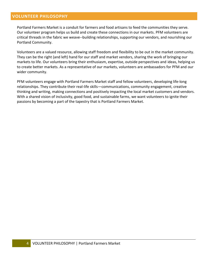# <span id="page-4-0"></span>**VOLUNTEER PHILOSOPHY**

Portland Farmers Market is a conduit for farmers and food artisans to feed the communities they serve. Our volunteer program helps us build and create these connections in our markets. PFM volunteers are critical threads in the fabric we weave--building relationships, supporting our vendors, and nourishing our Portland Community.

Volunteers are a valued resource, allowing staff freedom and flexibility to be out in the market community. They can be the right (and left) hand for our staff and market vendors, sharing the work of bringing our markets to life. Our volunteers bring their enthusiasm, expertise, outside perspectives and ideas, helping us to create better markets. As a representative of our markets, volunteers are ambassadors for PFM and our wider community.

PFM volunteers engage with Portland Farmers Market staff and fellow volunteers, developing life-long relationships. They contribute their real-life skills—communications, community engagement, creative thinking and writing, making connections and positively impacting the local market customers and vendors. With a shared vision of inclusivity, good food, and sustainable farms, we want volunteers to ignite their passions by becoming a part of the tapestry that is Portland Farmers Market.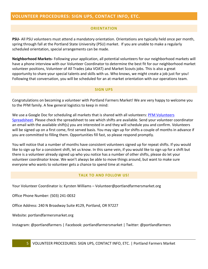# <span id="page-5-1"></span><span id="page-5-0"></span>**VOLUNTEER PROCEDURES: SIGN UPS, CONTACT INFO, ETC.**

# **ORIENTATION**

**PSU-** All PSU volunteers must attend a mandatory orientation. Orientations are typically held once per month, spring through fall at the Portland State University (PSU) market. If you are unable to make a regularly scheduled orientation, special arrangements can be made.

**Neighborhood Markets-** Following your application, all potential volunteers for our neighborhood markets will have a phone interview with our Volunteer Coordinator to determine the best fit for our neighborhood market volunteer positions, Volunteer of All Trades (aka VOAT) and Market Scouts jobs. This is also a great opportunity to share your special talents and skills with us. Who knows, we might create a job just for you! Following that conversation, you will be scheduled for an at-market orientation with our operations team.

## **SIGN UPS**

<span id="page-5-2"></span>Congratulations on becoming a volunteer with Portland Farmers Market! We are very happy to welcome you to the PFM family. A few general logistics to keep in mind:

We use a Google Doc for scheduling all markets that is shared with all volunteers: PFM Volunteers [Spreadsheet.](https://docs.google.com/spreadsheets/d/1SiFMgVyfxkLBaNTkEFsnjaD7JAuDuT-8mbdBbdvihRA/edit#gid=878797655) Please check the spreadsheet to see which shifts are available. Send your volunteer coordinator an email with the available shift(s) you are interested in and they will schedule you and confirm. Volunteers will be signed up on a first come, first served basis. You may sign up for shifts a couple of months in advance if you are committed to filling them. Opportunities fill fast, so please respond promptly.

You will notice that a number of months have consistent volunteers signed up for repeat shifts. If you would like to sign up for a consistent shift, let us know. In this same vein, if you would like to sign up for a shift but there is a volunteer already signed up who you notice has a number of other shifts, please do let your volunteer coordinator know. We won't always be able to move things around, but want to make sure everyone who wants to volunteer gets a chance to spend time at market.

# **TALK TO AND FOLLOW US!**

<span id="page-5-3"></span>Your Volunteer Coordinator is: Kyrsten Williams – Volunteer@portlandfarmersmarket.org

Office Phone Number: (503) 241-0032

Office Address: 240 N Broadway Suite #129, Portland, OR 97227

Website: portlandfarmersmarket.org

Instagram: @portlandfarmers | Facebook: portlandfarmersmarket | Twitter: @portlandfarmers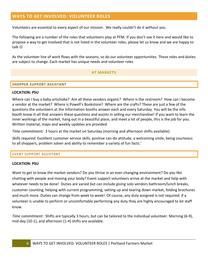# <span id="page-6-0"></span>**WAYS TO GET INVOLVED: VOLUNTEER ROLES**

Volunteers are essential to every aspect of our mission. We really couldn't do it without you.

The following are a number of the roles that volunteers play at PFM. If you don't see it here and would like to propose a way to get involved that is not listed in the volunteer roles, please let us know and we are happy to talk ☺

<span id="page-6-1"></span>As the volunteer line of work flows with the seasons, so do our volunteer opportunities. These roles and duties are subject to change. Each market has unique needs and volunteer roles

## **AT MARKETS**

#### <span id="page-6-2"></span>**SHOPPER SUPPORT ASSISTANT**

#### **LOCATION: PSU**

Where can I buy a baby artichoke? Are all these vendors organic? Where is the restroom? How can I become a vendor at the market? Where is Powell's Bookstore? Where are the crafts? These are just a few of the questions the volunteers at the Information booths answer each and every Saturday. You will be the info booth know-it-all that answers these questions and assists in selling our merchandise! If you want to learn the inner workings of the market, hang out in a beautiful place, and meet a lot of people, this is the job for you. Written material, maps and weekly updates are provided.

*Time commitment:* 3 hours at the market on Saturday (morning and afternoon shifts available).

*Skills required:* Excellent customer service skills, positive can-do attitude, a welcoming smile, being courteous to all shoppers, problem solver and ability to remember a variety of fun facts.'

#### <span id="page-6-3"></span>EVENT SUPPORT ASSISTANT

#### **LOCATION: PSU**

Want to get to know the market vendors? Do you thrive in an ever-changing environment? Do you like chatting with people and moving your body? Event support volunteers arrive at the market and help with whatever needs to be done! Duties are varied but can include giving solo vendors bathroom/lunch breaks, customer counting, helping with current programming, setting up and tearing down market, folding brochures and much more. Duties can change from week to week! Of course, any duty assigned is not required: if a volunteer is unable to perform or uncomfortable performing any duty they are highly encouraged to let staff know.

*Time commitment:* Shifts are typically 3 hours, but can be tailored to the individual volunteer. Morning (6-9), mid-day (10-1), and afternoon (1-4) shifts are available.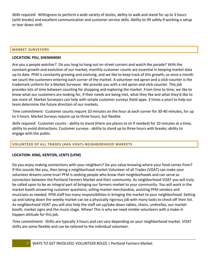*Skills required*: Willingness to perform a wide variety of duties, ability to walk and stand for up to 3 hours (with breaks) and excellent communication and customer service skills. Ability to lift safely if working a setup or tear down shift.

## <span id="page-7-0"></span>**MARKET SURVEYORS**

# **LOCATION: PSU, SHEMANSKI**

Are you a people watcher? Do you long to hang out on street corners and watch the parade? With the constant growth and evolution of our market, monthly customer counts are essential in keeping market data up to date. PFM is constantly growing and evolving, and we like to keep track of this growth, so once a month we count the customers entering each corner of the market. A volunteer red apron and a click-counter is the trademark uniform for a Market Surveyor. We provide you with a red apron and click-counter. This job provides lots of time between counting for shopping and exploring the market. From time to time, we like to know what our customers are looking for, if their needs are being met, what they like and what they'd like to see more of. Market Surveyors can help with simple customer surveys (held appx. 3 times a year) to help our team determine the future direction of our markets.

*Time commitment:* Customer counts require 10 minutes on the hour at each corner for 30-40 minutes, for up to 3 hours. Market Surveys require up to three hours, but flexible.

*Skills required*: Customer counts - ability to stand (there are places to sit if needed) for 10 minutes at a time; ability to avoid distractions. Customer surveys - ability to stand up to three hours with breaks; ability to engage with the public.

# <span id="page-7-1"></span>**VOLUNTEER OF ALL TRADES (AKA VOAT)-NEIGHBORHOOD MARKETS**

# **LOCATION: KING, KENTON, LENTS (LIFM)**

Do you enjoy making connections with your neighbors? Do you value knowing where your food comes from? If this sounds like you, then being a neighborhood market Volunteer of all Trades (VOAT) can make your volunteer dreams come true! PFM is seeking people who know their neighborhoods and can serve as connectors between the Portland Farmers Market and their community. As neighborhood VOAT you will truly be called upon to be an integral part of bringing our farmers market to your community. You will work in the market booth answering customer questions, selling market merchandise, assisting PFM vendors and musicians as needed. PFM staff has many responsibilities in bringing the market to your neighborhood. Setting up and taking down the weekly market can be a physically rigorous job with many tasks to check off their list. As neighborhood VOAT you will also help the staff set up/take down tables, chairs, umbrellas, our market booth, market signs and the music stage. Whew! This is why we need nimble volunteers with a make-ithappen attitude for this job.

*Time commitment:* Shifts are typically 3 hours and can vary depending on your neighborhood market. VOAT shifts are some flexible and can be tailored to the individual volunteer.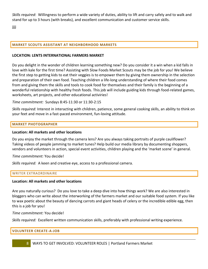*Skills required*: Willingness to perform a wide variety of duties, ability to lift and carry safely and to walk and stand for up to 3 hours (with breaks), and excellent communication and customer service skills.

jjjj

# <span id="page-8-0"></span>**MARKET SCOUTS ASSISTANT AT NEIGHBORHOOD MARKETS**

## **LOCATION: LENTS INTERNATIONAL FARMERS MARKET**

Do you delight in the wonder of children learning something new? Do you consider it a win when a kid falls in love with kale for the first time? Assisting with Slow Foods Market Scouts may be the job for you! We believe the first step to getting kids to eat their veggies is to empower them by giving them ownership in the selection and preparation of their own food. Teaching children a life-long understanding of where their food comes from and giving them the skills and tools to cook food for themselves and their family is the beginning of a wonderful relationship with healthy fresh foods. This job will include guiding kids through food-related games, worksheets, art projects, and other educational activiries!

*Time commitment:* Sundays 8:45-11:30 or 11:30-2:15

*Skills required:* Interest in interacting with children, patience, some general cooking skills, an ability to think on your feet and move in a fast-paced environment, fun-loving attitude.

## <span id="page-8-1"></span>**MARKET PHOTOGRAPHER**

## **Location: All markets and other locations**

Do you enjoy the market through the camera lens? Are you always taking portraits of purple cauliflower? Taking videos of people jamming to market tunes? Help build our media library by documenting shoppers, vendors and volunteers in action, special event activities, children playing and the 'market scene' in general.

*Time commitment:* You decide!

*Skills required:* A keen and creative eye, access to a professional camera.

## <span id="page-8-2"></span>WRITER EXTRAORDINAIRE

## **Location: All markets and other locations**

Are you naturally curious? Do you love to take a deep dive into how things work? We are also interested in bloggers who can write about the interworking of the farmers market and our suitable food system. If you like to wax poetic about the beauty of dancing carrots and giant heads of celery or the incredible edible egg, then this is a job for you!

*Time commitment:* You decide!

*Skills required:* Excellent written communication skills, preferably with professional writing experience.

## <span id="page-8-3"></span>**VOLUNTEER CREATE-A-JOB**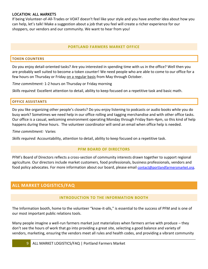# **LOCATION: ALL MARKETS**

If being Volunteer-of-All-Trades or VOAT doesn't feel like your style and you have another idea about how you can help, let's talk! Make a suggestion about a job that you feel will create a richer experience for our shoppers, our vendors and our community. We want to hear from you!

# **PORTLAND FARMERS MARKET OFFICE**

# <span id="page-9-1"></span><span id="page-9-0"></span>**TOKEN COUNTERS**

Do you enjoy detail-oriented tasks? Are you interested in spending time with us in the office? Well then you are probably well suited to become a token counter! We need people who are able to come to our office for a few hours on Thursday or Friday on a regular basis from May through October.

*Time commitment:* 1-2 hours on Thursday or Friday morning

*Skills required:* Excellent attention to detail, ability to keep focused on a repetitive task and basic math.

# <span id="page-9-2"></span>**OFFICE ASSISTANTS**

Do you like organizing other people's closets? Do you enjoy listening to podcasts or audio books while you do busy work? Sometimes we need help in our office rolling and tagging merchandise and with other office tasks. Our office is a casual, welcoming environment operating Monday through Friday 9am-4pm, so this kind of help happens during these hours. The volunteer coordinator will send an email when office help is needed.

## *Time commitment:* Varies

<span id="page-9-3"></span>*Skills required:* Accountability, attention to detail, ability to keep focused on a repetitive task.

## **PFM BOARD OF DIRECTORS**

PFM's Board of Directors reflects a cross-section of community interests drawn together to support regional agriculture. Our directors include market customers, food professionals, business professionals, vendors and food policy advocates. For more information about our board, please email [contact@portlandfarmersmarket.org](mailto:contact@portlandfarmersmarket.org).

# <span id="page-9-5"></span><span id="page-9-4"></span>**ALL MARKET LOGISTICS/FAQ**

# **INTRODUCTION TO THE INFORMATION BOOTH**

The Information booth, home to the volunteer "know-it-alls," is essential to the success of PFM and is one of our most important public relations tools.

Many people imagine a well-run farmers market just materializes when farmers arrive with produce – they don't see the hours of work that go into providing a great site, selecting a good balance and variety of vendors, marketing, ensuring the vendors meet all rules and health codes, and providing a vibrant community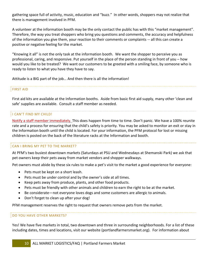gathering space full of activity, music, education and "buzz." In other words, shoppers may not realize that there is management involved in PFM.

A volunteer at the information booth may be the only contact the public has with this "market management". Therefore, the way you treat shoppers who bring you questions and comments, the accuracy and helpfulness of the information you give them, your reaction to their comments or complaints -- all this can create a positive or negative feeling for the market.

"Knowing it all" is not the only task at the information booth. We want the shopper to perceive you as professional, caring, and responsive. Put yourself in the place of the person standing in front of you – how would you like to be treated? We want our customers to be greeted with a smiling face, by someone who is ready to listen to what you have they have to say.

Attitude is a BIG part of the job… And then there is all the information!

# FIRST AID

First aid kits are available at the Information booths. Aside from basic first aid supply, many other 'clean and safe' supplies are available. Consult a staff member as needed.

# I CAN'T FIND MY CHILD!

Notify a staff member immediately. This does happen from time to time. Don't panic. We have a 100% reunite rate and a process for ensuring that the child's safety is priority. You may be asked to monitor an exit or stay in the Information booth until the child is located. For your information, the PFM protocol for lost or missing children is posted on the back of the literature racks at the Information and booth.

## CAN I BRING MY PET TO THE MARKET?

At PFM's two busiest downtown markets (Saturdays at PSU and Wednesdays at Shemanski Park) we ask that pet owners keep their pets away from market vendors and shopper walkways.

Pet owners must abide by these six rules to make a pet's visit to the market a good experience for everyone:

- Pets must be kept on a short leash.
- Pets must be under control and by the owner's side at all times.
- Keep pets away from produce, plants, and other food products.
- Pets must be friendly with other animals and children to earn the right to be at the market.
- Be considerate—not everyone loves dogs and some customers are allergic to animals.
- Don't forget to clean up after your dog!

PFM management reserves the right to request that owners remove pets from the market.

## DO YOU HAVE OTHER MARKETS?

Yes! We have five markets in total, two downtown and three in surrounding neighborhoods. For a list of these including dates, times and locations, visit our website (portlandfarmersmarket.org). For information about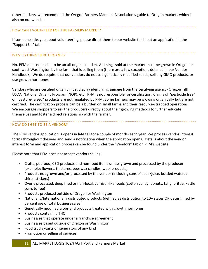other markets, we recommend the Oregon Farmers Markets' Association's guide to Oregon markets which is also on our website.

## HOW CAN I VOLUNTEER FOR THE FARMERS MARKET?

If someone asks you about volunteering, please direct them to our website to fill out an application in the "Support Us" tab.

# IS EVERYTHING HERE ORGANIC?

No. PFM does not claim to be an all-organic market. All things sold at the market must be grown in Oregon or southwest Washington by the farm that is selling them (there are a few exceptions detailed in our Vendor Handbook). We do require that our vendors do not use genetically modified seeds, sell any GMO products, or use growth hormones.

Vendors who are certified organic must display identifying signage from the certifying agency- Oregon Tilth, USDA, National Organic Program (NOP), etc. PFM is not responsible for certification. Claims of "pesticide free" or "pasture-raised" products are not regulated by PFM. Some farmers may be growing organically but are not certified. The certification process can be a burden on small farms and their resource-strapped operations. We encourage shoppers to ask the producers directly about their growing methods to further educate themselves and foster a direct relationship with the farmer.

## HOW DO I GET TO BE A VENDOR?

The PFM vendor application is opens in late fall for a couple of months each year. We process vendor interest forms throughout the year and send a notification when the application opens. Details about the vendor interest form and application process can be found under the "Vendors" tab on PFM's website.

Please note that PFM does not accept vendors selling:

- Crafts, pet food, CBD products and non-food items unless grown and processed by the producer (example: flowers, tinctures, beeswax candles, wool products)
- Products not grown and/or processed by the vendor (including cans of soda/juice, bottled water, tshirts, stickers)
- Overly processed, deep fried or non-local, carnival-like foods (cotton candy, donuts, taffy, brittle, kettle corn, toffee)
- Products produced outside of Oregon or Washington
- Nationally/Internationally distributed products (defined as distribution to 10+ states OR determined by percentage of total business sales)
- Genetically modified crops and products treated with growth hormones
- Products containing THC
- Businesses that operate under a franchise agreement
- Businesses based outside of Oregon or Washington
- Food trucks/carts or generators of any kind
- Promotion or selling of services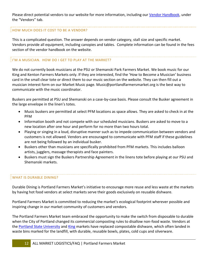Please direct potential vendors to our website for more information, including our [Vendor Handbook,](https://www.portlandfarmersmarket.org/wp-content/uploads/2021/12/Vendor-Handbook-2022.pdf) under the "Vendors" tab.

## HOW MUCH DOES IT COST TO BE A VENDOR?

This is a complicated question. The answer depends on vendor category, stall size and specific market. Vendors provide all equipment, including canopies and tables. Complete information can be found in the fees section of the vendor handbook on the website.

# I'M A MUSICIAN. HOW DO I GET TO PLAY AT THE MARKET?

We do not currently book musicians at the PSU or Shemanski Park Farmers Market. We book music for our King and Kenton Farmers Markets only. If they are interested, find the 'How to Become a Musician' business card in the small clear tote or direct them to our music section on the website. They can then fill out a musician interest form on our Market Music page. Music@portlandfarmersmarket.org is the best way to communicate with the music coordinator.

Buskers are permitted at PSU and Shemanski on a case-by-case basis. Please consult the Busker agreement in the large envelope in the linen's totes.

- Music buskers are permitted at select PFM locations as space allows. They are asked to check in at the PFM
- Information booth and not compete with our scheduled musicians. Buskers are asked to move to a new location after one hour and perform for no more than two hours total.
- Playing or singing in a loud, disruptive manner such as to impede communication between vendors and customers is not allowed. Vendors are encouraged to communicate with PFM staff if these guidelines are not being followed by an individual busker.
- Buskers other than musicians are specifically prohibited from PFM markets. This includes balloon artists, jugglers, massage therapists and face painters.
- Buskers must sign the Buskers Partnership Agreement in the linens tote before playing at our PSU and Shemanski markets.

# WHAT IS DURABLE DINING?

Durable Dining is Portland Farmers Market's initiative to encourage more reuse and less waste at the markets by having hot food vendors at select markets serve their goods exclusively on reusable dishware.

Portland Farmers Market is committed to reducing the market's ecological footprint wherever possible and inspiring change in our market community of customers and vendors.

The Portland Farmers Market team embraced the opportunity to make the switch from disposable to durable when the City of Portland changed its commercial composting rules to disallow non-food waste. Vendors at the [Portland State University](https://portlandfarmersmarket.org/our-markets/psu/) and [King](https://portlandfarmersmarket.org/our-markets/king/) markets have replaced compostable dishware, which often landed in waste bins marked for the landfill, with durable, reusable bowls, plates, cold cups and silverware.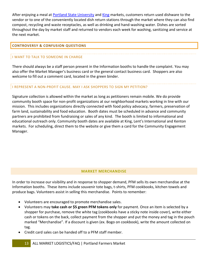After enjoying a meal at [Portland State University](https://portlandfarmersmarket.org/our-markets/psu/) and [King](https://portlandfarmersmarket.org/our-markets/king/) markets, customers return used dishware to the vendor or to one of the conveniently located dish return stations through the market where they can also find compost, recycling and waste receptacles, as well as drinking and hand-washing water. Dishes are sorted throughout the day by market staff and returned to vendors each week for washing, sanitizing and service at the next market.

# <span id="page-13-0"></span>**CONTROVERSY & CONFUSION QUESTIONS**

# I WANT TO TALK TO SOMEONE IN CHARGE

There should always be a staff person present in the Information booths to handle the complaint. You may also offer the Market Manager's business card or the general contact business card. Shoppers are also welcome to fill out a comment card, located in the green binder.

# I REPRESENT A NON-PROFIT CAUSE. MAY I ASK SHOPPERS TO SIGN MY PETITION?

Signature collection is allowed within the market as long as petitioners remain mobile. We do provide community booth space for non-profit organizations at our neighborhood markets working in line with our mission. This includes organizations directly connected with food policy advocacy, farmers, preservation of farm land, sustainability and food education. Booth dates must be scheduled in advance and community partners are prohibited from fundraising or sales of any kind. The booth is limited to informational and educational outreach only. Community booth dates are available at King, Lent's International and Kenton markets. For scheduling, direct them to the website or give them a card for the Community Engagement Manager.

# **MARKET MERCHANDISE**

<span id="page-13-1"></span>In order to increase our visibility and in response to shopper demand, PFM sells its own merchandise at the Information booths. These items include souvenir tote bags, t-shirts, PFM cookbooks, kitchen towels and produce bags. Volunteers assist in selling this merchandise. Points to remember:

- Volunteers are encouraged to promote merchandise sales.
- Volunteers may **take cash or \$5 green PFM tokens only** for payment. Once an item is selected by a shopper for purchase, remove the white tag (cookbooks have a sticky note inside cover), write either cash or tokens on the back, collect payment from the shopper and put the money and tag in the pouch marked "Merchandise". If a discount is given (ex. Bogo on cookbook), write the amount collected on tag.
- Credit card sales can be handed off to a PFM staff member.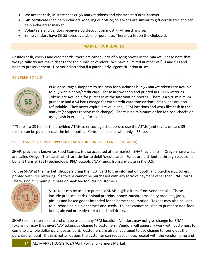- We accept cash, in-state checks, \$5 market tokens and Visa/MasterCard/Discover.
- Gift certificates can be purchased by calling our office; \$5 tokens are similar to gift certificates and can be purchased at market.
- Volunteers and vendors receive a \$5 discount on most PFM merchandise.
- <span id="page-14-0"></span>• Some vendors have \$3-\$5 totes available for purchase. There is a list on the clipboard.

# **MARKET CURRENCIES**

Besides cash, checks and credit cards, there are other kinds of buying power in the market. Please note that we typically do not make change for the public or vendors. We have a limited number of \$5s and \$1s and need to preserve them. Use your discretion if a particularly urgent situation arises.

# **\$5 GREEN TOKENS**



PFM encourages shoppers to use cash for purchases but \$5 market tokens are avalible to buy with a debit/credit card. These are wooden and printed in GREEN lettering. Tokens are available for purchase at the Information booths. There is a \$20 minimum purchase and a \$4 bank charge for each credit card transaction\*. \$5 tokens are nonrefundable. They never expire, are valid at all PFM locations and work like cash in the market (shoppers receive cash change). There is no minimum or fee for local checks or using cash in exchange for tokens.

\* There is a \$3 fee for the provided ATMs so encourage shoppers to use the ATMs (and save a dollar). \$5 tokens can be purchased at the Info booth at Kenton and Lents with only a \$3 fee.

# \$1 RED SNAP TOKENS (SUPPLEMENTAL NUTRITION ASSISTANCE PROGRAM)

SNAP, previously known as Food Stamps, is also accepted at the market. SNAP recipients in Oregon have what are called Oregon Trail cards which are similar to debit/credit cards. Funds are distributed through electronic benefit transfer (EBT) technology. PFM accepts SNAP funds from any state in the U.S.

To use SNAP at the market, shoppers bring their EBT card to the information booth and purchase \$1 tokens printed with RED lettering. \$1 tokens cannot be purchased with any form of payment other than SNAP cards. There is no minimum purchase or bank fee for SNAP customers.



\$1 tokens can be used to purchase SNAP-eligible items from vendor stalls. These include produce, herbs, animal proteins, honey, mushrooms, dairy products, jams, pickles and baked goods intended for at-home consumption. Tokens may also be used to purchase edible plant starts and seeds. Tokens cannot be used to purchase non-food items, alcohol or ready-to-eat food and drinks.

SNAP tokens never expire and can be used at any PFM location. Vendors may not give change for SNAP tokens nor may they give SNAP tokens as change to customers. Vendors will generally work with customers to come to a whole dollar purchase amount. Customers are also encouraged to use change to round out the purchase amount. If this is not an option, the customer can request a note/receipt with the vendor name and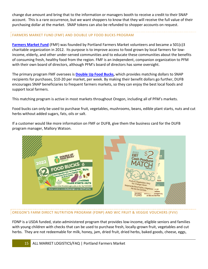change due amount and bring that to the information or managers booth to receive a credit to their SNAP account. This is a rare occurrence, but we want shoppers to know that they will receive the full value of their purchasing dollar at the market. SNAP tokens can also be refunded to shopper accounts on request.

# FARMERS MARKET FUND (FMF) AND DOUBLE UP FOOD BUCKS PROGRAM

**[Farmers Market Fund](http://farmersmarketfund.org/)** (FMF) was founded by Portland Farmers Market volunteers and became a 501(c)3 charitable organization in 2012. Its purpose is to improve access to food grown by local farmers for lowincome, elderly, and other under-served communities and to educate these communities about the benefits of consuming fresh, healthy food from the region. FMF is an independent, companion organization to PFM with their own board of directors, although PFM's board of directors has some oversight.

The primary program FMF oversees is **[Double Up Food Bucks,](http://farmersmarketfund.org/programs/dufb/)** which provides matching dollars to SNAP recipients for purchases, \$10-20 per market, per week. By making their benefit dollars go further, DUFB encourages SNAP beneficiaries to frequent farmers markets, so they can enjoy the best local foods and support local farmers.

This matching program is active in most markets throughout Oregon, including all of PFM's markets.

Food bucks can only be used to purchase fruit, vegetables, mushrooms, beans, edible plant starts, nuts and cut herbs without added sugars, fats, oils or salt.

If a customer would like more information on FMF or DUFB, give them the business card for the DUFB program manager, Mallory Watson.



# OREGON'S FARM DIRECT NUTRITION PROGRAM (FDNP) AND WIC FRUIT & VEGGIE VOUCHERS (FVV)

FDNP is a USDA funded, state-administered program that provides low-income, eligible seniors and families with young children with checks that can be used to purchase fresh, locally-grown fruit, vegetables and cut herbs. They are not redeemable for milk, honey, jam, dried fruit, dried herbs, baked goods, cheese, eggs,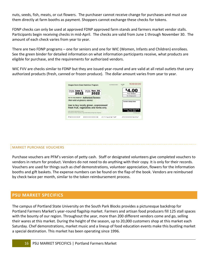nuts, seeds, fish, meats, or cut flowers. The purchaser cannot receive change for purchases and must use them directly at farm booths as payment. Shoppers cannot exchange these checks for tokens.

FDNP checks can only be used at approved FDNP approved farm stands and farmers market vendor stalls. Participants begin receiving checks in mid-April. The checks are valid from June 1 through November 30. The amount of each check varies from year to year.

There are two FDNP programs – one for seniors and one for WIC (Women, Infants and Children) enrollees. See the green binder for detailed information on what information participants receive, what products are eligible for purchase, and the requirements for authorized vendors.

WIC FVV are checks similar to FDNP but they are issued year-round and are valid at all retail outlets that carry authorized products (fresh, canned or frozen produce). The dollar amount varies from year to year.



## MARKET PURCHASE VOUCHERS

Purchase vouchers are PFM's version of petty cash. Staff or designated volunteers give completed vouchers to vendors in return for product. Vendors do not need to do anything with their copy. It is only for their records. Vouchers are used for things such as chef demonstrations, volunteer appreciation, flowers for the Information booths and gift baskets. The expense numbers can be found on the flap of the book. Vendors are reimbursed by check twice per month, similar to the token reimbursement process.

# <span id="page-16-0"></span>**PSU MARKET SPECIFICS**

The campus of Portland State University on the South Park Blocks provides a picturesque backdrop for Portland Farmers Market's year-round flagship market. Farmers and artisan food producers fill 125 stall spaces with the bounty of our region. Throughout the year, more than 200 different vendors come and go, selling their wares at this market. During the height of the season, up to 20,000 customers shop at this market each Saturday. Chef demonstrations, market music and a lineup of food education events make this bustling market a special destination. This market has been operating since 1996.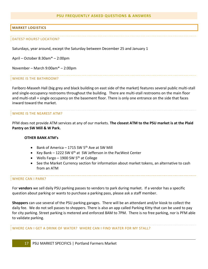## **PSU FREQUENTLY ASKED QUESTIONS & ANSWERS**

## <span id="page-17-1"></span><span id="page-17-0"></span>**MARKET LOGISTICS**

#### DATES? HOURS? LOCATION?

Saturdays, year around, except the Saturday between December 25 and January 1

April – October 8:30am\* – 2:00pm

November – March 9:00am\* – 2:00pm

## WHERE IS THE BATHROOM?

Fariborz-Maseeh Hall (big grey and black building on east side of the market) features several public multi-stall and single-occupancy restrooms throughout the building. There are multi-stall restrooms on the main floor and multi-stall + single occupancy on the basement floor. There is only one entrance on the side that faces inward toward the market.

#### WHERE IS THE NEAREST ATM?

PFM does not provide ATM services at any of our markets. **The closest ATM to the PSU market is at the Plaid Pantry on SW Mill & W Park.**

#### **OTHER BANK ATM's**

- Bank of America 1715 SW 5<sup>th</sup> Ave at SW Mill
- Key Bank  $-$  1222 SW 6<sup>th</sup> at SW Jefferson in the PacWest Center
- Wells Fargo 1900 SW 5<sup>th</sup> at College
- See the Market Currency section for information about market tokens, an alternative to cash from an ATM

#### WHERE CAN I PARK?

For **vendors** we sell daily PSU parking passes to vendors to park during market. If a vendor has a specific question about parking or wants to purchase a parking pass, please ask a staff member.

**Shoppers** can use several of the PSU parking garages. There will be an attendant and/or kiosk to collect the daily fee. We do not sell passes to shoppers. There is also an app called Parking Kitty that can be used to pay for city parking. Street parking is metered and enforced 8AM to 7PM. There is no free parking, nor is PFM able to validate parking.

## WHERE CAN I GET A DRINK OF WATER? WHERE CAN I FIND WATER FOR MY STALL?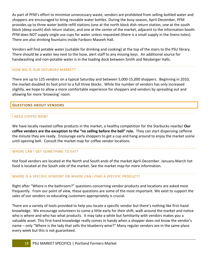As part of PFM's effort to minimize unnecessary waste, vendors are prohibited from selling bottled water and shoppers are encouraged to bring reusable water bottles. During the busy season, April-December, PFM provides up to three water bottle refill stations (one at the north block dish return station, one at the south block (deep south) dish return station, and one at the center of the market, adjacent to the information booth. PFM does NOT supply single use cups for water unless requested (there is a small supply in the linens totes). There are also drinking fountains inside Fariborz Maseeh Hall.

Vendors will find potable water (suitable for drinking and cooking) at the top of the stairs to the PSU library. There should be a water key next to the hose, alert staff to any missing keys. An additional source for handwashing and non-potable water is in the loading dock between Smith and Neuberger Halls.

# HOW BIG IS OUR SATURDAY MARKET?

There are up to 125 vendors on a typical Saturday and between 5,000-15,000 shoppers. Beginning in 2010, the market doubled its foot print to a full three blocks. While the number of vendors has only increased slightly, we hope to allow a more comfortable experience for shoppers and vendors by spreading out and allowing for more 'browsing' room.

# <span id="page-18-0"></span>**QUESTIONS ABOUT VENDORS**

# I NEED COFFEE NOW!

We have locally roasted coffee products in the market, a healthy competition for the Starbucks nearby! **Our coffee vendors are the exception to the "no selling before the bell" rule.** They can start dispensing caffeine the minute they are ready. Encourage early shoppers to get a cup and hang around to enjoy the market scene until opening bell. Consult the market map for coffee vendor locations.

# WHERE CAN I GET SOMETHING TO EAT?

Hot food vendors are located at the North and South ends of the market April-December. January-March hot food is located at the South side of the market. See the market map for more information.

# WHERE IS A SPECIFIC VENDOR? OR WHERE CAN I FIND A SPECIFIC PRODUCT?

Right after "Where is the bathroom?" questions concerning vendor products and locations are asked most frequently. From our point of view, these questions are some of the most important. We exist to support the sales of our vendors so educating customers appropriately is crucial.

There are a variety of tools provided to help you locate a specific vendor but there's nothing like first-hand knowledge. We encourage volunteers to come a little early for their shift, walk around the market and notice who is where and who has what products. It may take a while but familiarity with vendors makes you a valuable asset. This first-hand knowledge really comes in handy when a shopper does not know the vendor's name – only "Where is the lady that sells the blueberry wine?" Many regular vendors are in the same place every week but this is not guaranteed.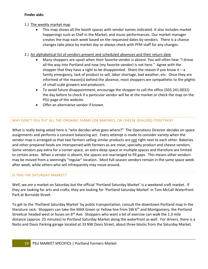# **Finder aids:**

- 1.) The weekly market map
	- This map shows all the booth spaces with vendor names indicated. It also includes market happenings such as Chef in the Market, and music performances. Our market manager creates the map each week based on the requested dates by vendors. There is a chance changes take place by market day so always check with PFM staff for any changes.
- 2.) An alphabetical list of vendors present and scheduled absences and their return date
	- Many shoppers are upset when their favorite vendor is absent. You will often hear "I drove all the way into Portland and now (my favorite vendor) is not here." Agree with the shopper that they have a right to be disappointed. Share the reason if you know it  $-a$ family emergency, lack of product to sell, labor shortage, bad weather, etc. Once they are informed of the reason(s) behind the absence, most shoppers are sympathetic to the plights of small-scale growers and producers.
	- To avoid future disappointment, encourage the shopper to call the office (503.241.0032) the day before to check if a particular vendor will be at the market or check the map on the PSU page of the website.
	- Offer an alternative vendor if known.

# WHY DON'T YOU PUT ALL THE ORGANIC FARMS (OR BAKERIES, OR CHEESE DEALERS) TOGETHER?

What is really being asked here is "who decides what goes where?" The Operations Director decides on space assignments and performs a constant balancing act. Every attempt is made to consider variety when the vendor map is arranged so that two farmers selling similar products are not right next to each other. Bakeries and other prepared foods are interspersed with farmers as are meat, specialty product and cheese vendors. Some vendors pay extra for a corner space, an extra deep space or multiple spaces and therefore are limited to certain areas. When a vendor is absent, the spaces are rearranged to fill gaps. This means other vendors may be moved from a seemingly "regular" location. Most full-season vendors remain in the same space week after week, while others who sell infrequently may move around.

# IS THIS THE SATURDAY MARKET?

Well, we *are* a market on Saturday but the official 'Portland Saturday Market' is a weekend craft market. If they are looking for arts and crafts, they are looking for 'Portland Saturday Market' in Tom McCall Waterfront Park at Burnside Street.

To get to the 'Portland Saturday Market' by public transportation, consult the downtown Portland map in the literature rack. Shoppers can take the MAX Green or Yellow line from SW 6<sup>th</sup> and Montgomery, the Portland Streetcar headed west or buses on  $6<sup>th</sup>$  Ave. Shoppers who want a bit of exercise can walk the 1.3 mile distance (approx. 25 minutes) to Portland Saturday Market along the waterfront as well. For drivers, there is a Naito and Davis Parking garage located at 33 NW Davis Street, about three blocks from the Saturday Market.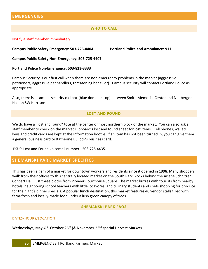# <span id="page-20-1"></span><span id="page-20-0"></span>**EMERGENCIES**

## **WHO TO CALL**

### Notify a staff member immediately!

**Campus Public Safety Emergency: 503-725-4404 Portland Police and Ambulance: 911**

**Campus Public Safety Non-Emergency: 503-725-4407**

**Portland Police Non-Emergency: 503-823-3333**

Campus Security is our first call when there are non-emergency problems in the market (aggressive petitioners, aggressive panhandlers, threatening behavior). Campus security will contact Portland Police as appropriate.

<span id="page-20-2"></span>Also, there is a campus security call box (blue dome on top) between Smith Memorial Center and Neuberger Hall on SW Harrison.

# **LOST AND FOUND**

We do have a "lost and found" tote at the center of most northern block of the market. You can also ask a staff member to check on the market clipboard's lost and found sheet for lost items. Cell phones, wallets, keys and credit cards are kept at the Information booths. If an item has not been turned in, you can give them a general business card or Katherine Bullock's business card.

PSU's Lost and Found voicemail number: 503.725.4435.

# <span id="page-20-3"></span>**SHEMANSKI PARK MARKET SPECIFICS**

This has been a gem of a market for downtown workers and residents since it opened in 1998. Many shoppers walk from their offices to this centrally located market on the South Park Blocks behind the Arlene Schnitzer Concert Hall, just three blocks from Pioneer Courthouse Square. The market buzzes with tourists from nearby hotels, neighboring school teachers with little locavores, and culinary students and chefs shopping for produce for the night's dinner specials. A popular lunch destination, this market features 40 vendor stalls filled with farm-fresh and locally-made food under a lush green canopy of trees.

#### **SHEMANSKI PARK FAQS**

## <span id="page-20-4"></span>DATES/HOURS/LOCATION

Wednesdays, May 4<sup>th</sup> -October 26<sup>th</sup> (& November 23<sup>rd</sup> special Harvest Market)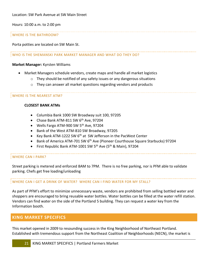Hours: 10:00 a.m. to 2:00 pm

# WHERE IS THE BATHROOM?

Porta potties are located on SW Main St.

## WHO IS THE SHEMANSKI PARK MARKET MANAGER AND WHAT DO THEY DO?

## **Market Manager:** Kyrsten Williams

- Market Managers schedule vendors, create maps and handle all market logistics
	- $\circ$  They should be notified of any safety issues or any dangerous situations
	- o They can answer all market questions regarding vendors and products

## WHERE IS THE NEAREST ATM?

## **CLOSEST BANK ATMs**

- Columbia Bank 1000 SW Broadway suit 100, 97205
- Chase Bank ATM-811 SW 6<sup>th</sup> Ave, 97204
- Wells Fargo ATM-900 SW 5<sup>th</sup> Ave, 97204
- Bank of the West ATM-810 SW Broadway, 97205
- Key Bank ATM-1222 SW  $6<sup>th</sup>$  at SW Jefferson in the PacWest Center
- Bank of America ATM-701 SW  $6<sup>th</sup>$  Ave (Pioneer Courthouse Square Starbucks) 97204
- First Republic Bank ATM-1001 SW 5<sup>th</sup> Ave (5<sup>th</sup> & Main), 97204

# WHERE CAN I PARK?

Street parking is metered and enforced 8AM to 7PM. There is no free parking, nor is PFM able to validate parking. Chefs get free loading/unloading

## WHERE CAN I GET A DRINK OF WATER? WHERE CAN I FIND WATER FOR MY STALL?

As part of PFM's effort to minimize unnecessary waste, vendors are prohibited from selling bottled water and shoppers are encouraged to bring reusable water bottles. Water bottles can be filled at the water refill station. Vendors can find water on the side of the Portland 5 building. They can request a water key from the Information booth.

# <span id="page-21-0"></span>**KING MARKET SPECIFICS**

This market opened in 2009 to resounding success in the King Neighborhood of Northeast Portland. Established with tremendous support from the Northeast Coalition of Neighborhoods (NECN), the market is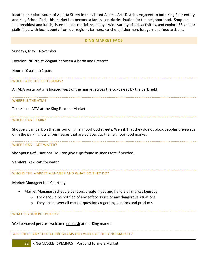located one block south of Alberta Street in the vibrant Alberta Arts District. Adjacent to both King Elementary and King School Park, this market has become a family-centric destination for the neighborhood. Shoppers find breakfast and lunch, listen to local musicians, enjoy a wide variety of kids activities, and explore 35 vendor stalls filled with local bounty from our region's farmers, ranchers, fishermen, foragers and food artisans.

## **KING MARKET FAQS**

<span id="page-22-0"></span>Sundays, May – November

Location: NE 7th at Wygant between Alberta and Prescott

Hours: 10 a.m. to 2 p.m.

#### WHERE ARE THE RESTROOMS?

An ADA porta potty is located west of the market across the col-de-sac by the park field

#### WHERE IS THE ATM?

There is no ATM at the King Farmers Market.

#### WHERE CAN I PARK?

Shoppers can park on the surrounding neighborhood streets. We ask that they do not block peoples driveways or in the parking lots of businesses that are adjacent to the neighborhood market

#### WHERE CAN I GET WATER?

**Shoppers:** Refill stations. You can give cups found in linens tote if needed.

**Vendors:** Ask staff for water

#### WHO IS THE MARKET MANAGER AND WHAT DO THEY DO?

#### **Market Manager:** Lexi Courtney

- Market Managers schedule vendors, create maps and handle all market logistics
	- o They should be notified of any safety issues or any dangerous situations
	- o They can answer all market questions regarding vendors and products

WHAT IS YOUR PET POLICY?

Well behaved pets are welcome on leash at our King market

ARE THERE ANY SPECIAL PROGRAMS OR EVENTS AT THE KING MARKET?

22 KING MARKET SPECIFICS | Portland Farmers Market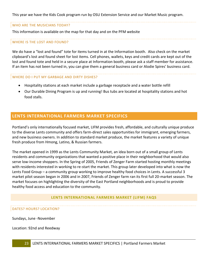This year we have the Kids Cook program run by OSU Extension Service and our Market Music program.

## WHO ARE THE MUSICIANS TODAY?

This information is available on the map for that day and on the PFM website

### WHERE IS THE LOST AND FOUND?

We do have a "lost and found" tote for items turned in at the Information booth. Also check on the market clipboard's lost and found sheet for lost items. Cell phones, wallets, keys and credit cards are kept out of the lost and found tote and held in a secure place at Information booth, please ask a staff member for assistance. If an item has not been turned in, you can give them a general business card or Alodie Spires' business card.

#### WHERE DO I PUT MY GARBAGE AND DIRTY DISHES?

- Hospitality stations at each market include a garbage receptacle and a water bottle refill
- Our Durable Dining Program is up and running! Bus tubs are located at hospitality stations and hot food stalls.

# <span id="page-23-0"></span>**LENTS INTERNATIONAL FARMERS MARKET SPECIFICS**

Portland's only internationally focused market, LIFM provides fresh, affordable, and culturally unique produce to the diverse Lents community and offers farm-direct sales opportunities for immigrant, emerging farmers, and new business owners. In addition to standard market produce, the market features a variety of unique fresh produce from Hmong, Latino, & Russian farmers.

The market opened in 1999 as the Lents Community Market, an idea born out of a small group of Lents residents and community organizations that wanted a positive place in their neighborhood that would also serve low-income shoppers. In the Spring of 2005, Friends of Zenger Farm started hosting monthly meetings with residents interested in working to re-start the market. This group later developed into what is now the Lents Food Group – a community group working to improve healthy food choices in Lents. A successful 3 market pilot season began in 2006 and in 2007, Friends of Zenger farm ran its first full 20-market season. The market focuses on highlighting the diversity of the East Portland neighborhoods and is proud to provide healthy food access and education to the community.

## **LENTS INTERNATIONAL FARMERS MARKET (LIFM) FAQS**

#### <span id="page-23-1"></span>DATES? HOURS? LOCATION?

Sundays, June -November

Location: 92nd and Reedway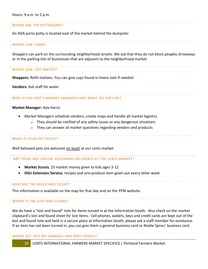## WHERE ARE THE RESTROOMS?

An ADA porta potty is located east of the market behind the dumpster

## WHERE CAN I PARK?

Shoppers can park on the surrounding neighborhood streets. We ask that they do not block peoples driveways or in the parking lots of businesses that are adjacent to the neighborhood market

#### WHERE CAN I GET WATER?

**Shoppers:** Refill stations. You can give cups found in linens tote if needed.

**Vendors:** Ask staff for water

#### WHO IS THE LENT'S MARKET MANAGER AND WHAT DO THEY DO?

#### **Market Manager:** Ada Harris

- Market Managers schedule vendors, create maps and handle all market logistics
	- $\circ$  They should be notified of any safety issues or any dangerous situations
	- $\circ$  They can answer all market questions regarding vendors and products

## WHAT IS YOUR PET POLICY?

Well behaved pets are welcome on leash at our Lents market

#### ARE THERE ANY SPECIAL PROGRAMS OR EVENTS AT THE LENTS MARKET?

- **Market Scouts**, \$3 market money given to kids ages 3-12
- **OSU Extension Service**, recipes and one produce item given out every other week

#### WHO ARE THE MUSICIANS TODAY?

This information is available on the map for that day and on the PFM website.

## WHERE IS THE LOST AND FOUND?

We do have a "lost and found" tote for items turned in at the Information booth. Also check on the market clipboard's lost and found sheet for lost items. Cell phones, wallets, keys and credit cards are kept out of the lost and found tote and held in a secure place at Information booth, please ask a staff member for assistance. If an item has not been turned in, you can give them a general business card or Alodie Spires' business card.

WHERE DO I PUT MY GARBAGE AND DIRTY DISHES?

24 LENTS INTERNATIONAL FARMERS MARKET SPECIFICS | Portland Farmers Market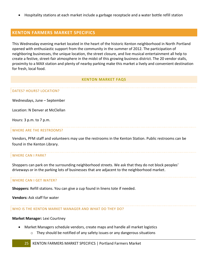• Hospitality stations at each market include a garbage receptacle and a water bottle refill station

# <span id="page-25-0"></span>**KENTON FARMERS MARKET SPECIFICS**

This Wednesday evening market located in the heart of the historic Kenton neighborhood in North Portland opened with enthusiastic support from the community in the summer of 2012. The participation of neighboring businesses, the unique location, the street closure, and live musical entertainment all help to create a festive, street-fair atmosphere in the midst of this growing business district. The 20 vendor stalls, proximity to a MAX station and plenty of nearby parking make this market a lively and convenient destination for fresh, local food.

## **KENTON MARKET FAQS**

## <span id="page-25-1"></span>DATES? HOURS? LOCATION?

Wednesdays, June – September

Location: N Denver at McClellan

Hours: 3 p.m. to 7 p.m.

## WHERE ARE THE RESTROOMS?

Vendors, PFM staff and volunteers may use the restrooms in the Kenton Station. Public restrooms can be found in the Kenton Library.

#### WHERE CAN I PARK?

Shoppers can park on the surrounding neighborhood streets. We ask that they do not block peoples' driveways or in the parking lots of businesses that are adjacent to the neighborhood market.

#### WHERE CAN I GET WATER?

**Shoppers:** Refill stations. You can give a cup found in linens tote if needed.

**Vendors:** Ask staff for water

#### WHO IS THE KENTON MARKET MANAGER AND WHAT DO THEY DO?

#### **Market Manager:** Lexi Courtney

- Market Managers schedule vendors, create maps and handle all market logistics
	- o They should be notified of any safety issues or any dangerous situations